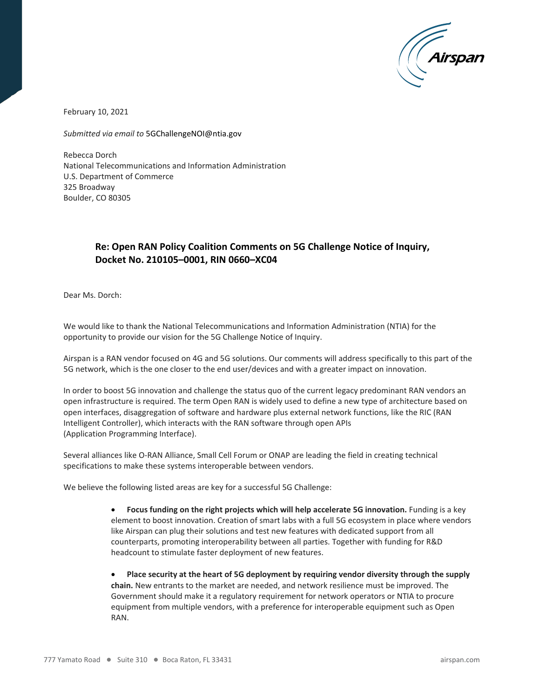

February 10, 2021

*Submitted via email to* [5GChallengeNOI@ntia.gov](mailto:5GChallengeNOI@ntia.gov)

Rebecca Dorch National Telecommunications and Information Administration U.S. Department of Commerce 325 Broadway Boulder, CO 80305

## **Re: Open RAN Policy Coalition Comments on 5G Challenge Notice of Inquiry, Docket No. 210105–0001, RIN 0660–XC04**

Dear Ms. Dorch:

We would like to thank the National Telecommunications and Information Administration (NTIA) for the opportunity to provide our vision for the 5G Challenge Notice of Inquiry.

Airspan is a RAN vendor focused on 4G and 5G solutions. Our comments will address specifically to this part of the 5G network, which is the one closer to the end user/devices and with a greater impact on innovation.

In order to boost 5G innovation and challenge the status quo of the current legacy predominant RAN vendors an open infrastructure is required. The term Open RAN is widely used to define a new type of architecture based on open interfaces, disaggregation of software and hardware plus external network functions, like the RIC (RAN Intelligent Controller), which interacts with the RAN software through open APIs (Application Programming Interface).

Several alliances like O-RAN Alliance, Small Cell Forum or ONAP are leading the field in creating technical specifications to make these systems interoperable between vendors.

We believe the following listed areas are key for a successful 5G Challenge:

• **Focus funding on the right projects which will help accelerate 5G innovation.** Funding is a key element to boost innovation. Creation of smart labs with a full 5G ecosystem in place where vendors like Airspan can plug their solutions and test new features with dedicated support from all counterparts, promoting interoperability between all parties. Together with funding for R&D headcount to stimulate faster deployment of new features.

• **Place security at the heart of 5G deployment by requiring vendor diversity through the supply chain.** New entrants to the market are needed, and network resilience must be improved. The Government should make it a regulatory requirement for network operators or NTIA to procure equipment from multiple vendors, with a preference for interoperable equipment such as Open RAN.